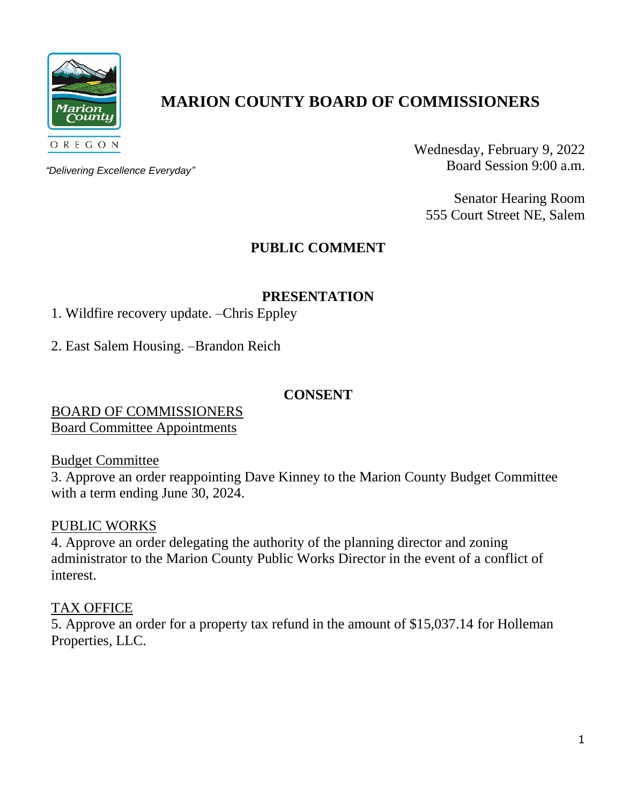

# **MARION COUNTY BOARD OF COMMISSIONERS**

*"Delivering Excellence Everyday"*

Wednesday, February 9, 2022 Board Session 9:00 a.m.

Senator Hearing Room 555 Court Street NE, Salem

## **PUBLIC COMMENT**

## **PRESENTATION**

- 1. Wildfire recovery update. –Chris Eppley
- 2. East Salem Housing. –Brandon Reich

#### **CONSENT**

BOARD OF COMMISSIONERS Board Committee Appointments

Budget Committee

3. Approve an order reappointing Dave Kinney to the Marion County Budget Committee with a term ending June 30, 2024.

## PUBLIC WORKS

4. Approve an order delegating the authority of the planning director and zoning administrator to the Marion County Public Works Director in the event of a conflict of interest.

## TAX OFFICE

5. Approve an order for a property tax refund in the amount of \$15,037.14 for Holleman Properties, LLC.